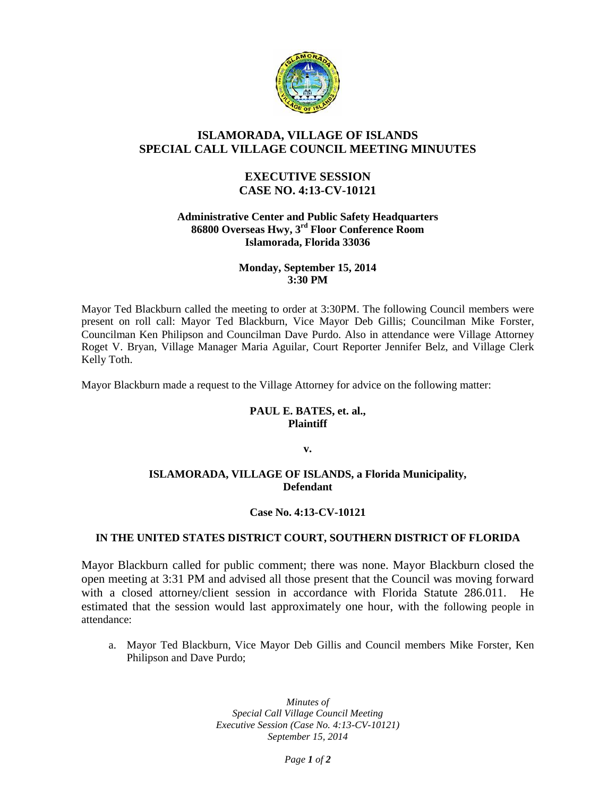

# **ISLAMORADA, VILLAGE OF ISLANDS SPECIAL CALL VILLAGE COUNCIL MEETING MINUUTES**

# **EXECUTIVE SESSION CASE NO. 4:13-CV-10121**

#### **Administrative Center and Public Safety Headquarters 86800 Overseas Hwy, 3rd Floor Conference Room Islamorada, Florida 33036**

#### **Monday, September 15, 2014 3:30 PM**

Mayor Ted Blackburn called the meeting to order at 3:30PM. The following Council members were present on roll call: Mayor Ted Blackburn, Vice Mayor Deb Gillis; Councilman Mike Forster, Councilman Ken Philipson and Councilman Dave Purdo. Also in attendance were Village Attorney Roget V. Bryan, Village Manager Maria Aguilar, Court Reporter Jennifer Belz, and Village Clerk Kelly Toth.

Mayor Blackburn made a request to the Village Attorney for advice on the following matter:

### **PAUL E. BATES, et. al., Plaintiff**

**v.**

### **ISLAMORADA, VILLAGE OF ISLANDS, a Florida Municipality, Defendant**

## **Case No. 4:13-CV-10121**

## **IN THE UNITED STATES DISTRICT COURT, SOUTHERN DISTRICT OF FLORIDA**

Mayor Blackburn called for public comment; there was none. Mayor Blackburn closed the open meeting at 3:31 PM and advised all those present that the Council was moving forward with a closed attorney/client session in accordance with Florida Statute 286.011. He estimated that the session would last approximately one hour, with the following people in attendance:

a. Mayor Ted Blackburn, Vice Mayor Deb Gillis and Council members Mike Forster, Ken Philipson and Dave Purdo;

> *Minutes of Special Call Village Council Meeting Executive Session (Case No. 4:13-CV-10121) September 15, 2014*